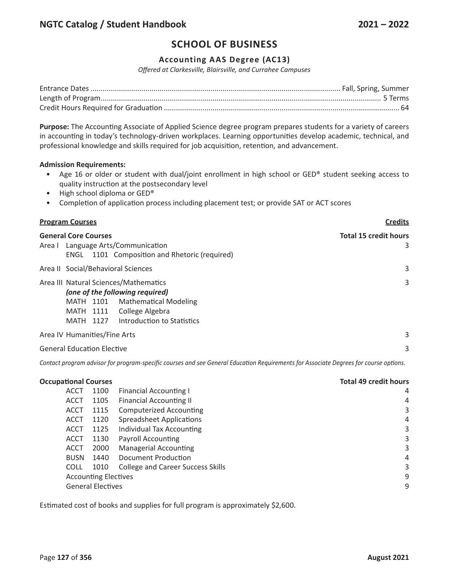# **SCHOOL OF BUSINESS**

## **Accounting AAS Degree (AC13)**

*Offered at Clarkesville, Blairsville, and Currahee Campuses*

**Purpose:** The Accounting Associate of Applied Science degree program prepares students for a variety of careers in accounting in today's technology-driven workplaces. Learning opportunities develop academic, technical, and professional knowledge and skills required for job acquisition, retention, and advancement.

### **Admission Requirements:**

- Age 16 or older or student with dual/joint enrollment in high school or GED® student seeking access to quality instruction at the postsecondary level
- High school diploma or GED®
- Completion of application process including placement test; or provide SAT or ACT scores

| <b>Program Courses</b>                                                                                                                                                                           | <b>Credits</b>                    |  |
|--------------------------------------------------------------------------------------------------------------------------------------------------------------------------------------------------|-----------------------------------|--|
| <b>General Core Courses</b><br>Area I Language Arts/Communication<br>ENGL 1101 Composition and Rhetoric (required)                                                                               | <b>Total 15 credit hours</b><br>3 |  |
| Area II Social/Behavioral Sciences                                                                                                                                                               | 3                                 |  |
| Area III Natural Sciences/Mathematics<br>(one of the following required)<br><b>Mathematical Modeling</b><br>MATH 1101<br>College Algebra<br>MATH 1111<br>Introduction to Statistics<br>MATH 1127 | 3                                 |  |
| Area IV Humanities/Fine Arts                                                                                                                                                                     | 3                                 |  |
| <b>General Education Elective</b>                                                                                                                                                                |                                   |  |

Contact program advisor for program-specific courses and see General Education Requirements for Associate Degrees for course options.

| <b>Total 49 credit hours</b> |  |
|------------------------------|--|
| 4                            |  |
| 4                            |  |
| 3                            |  |
| 4                            |  |
| 3                            |  |
| 3                            |  |
| 3                            |  |
| 4                            |  |
| 3                            |  |
| 9                            |  |
| 9                            |  |
|                              |  |

Estimated cost of books and supplies for full program is approximately \$2,600.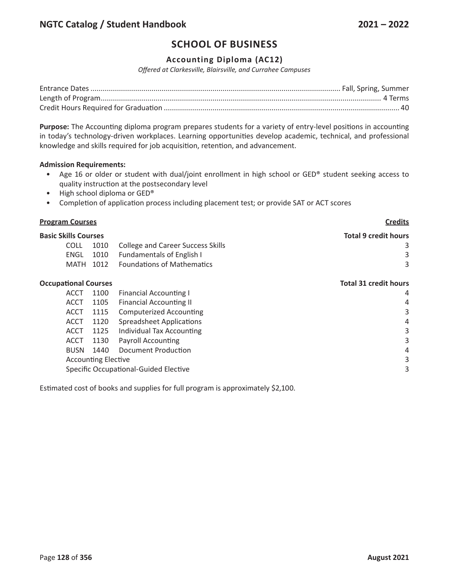# **SCHOOL OF BUSINESS**

## **Accounting Diploma (AC12)**

*Offered at Clarkesville, Blairsville, and Currahee Campuses*

**Purpose:** The Accounting diploma program prepares students for a variety of entry-level positions in accounting in today's technology-driven workplaces. Learning opportunities develop academic, technical, and professional knowledge and skills required for job acquisition, retention, and advancement.

### **Admission Requirements:**

- Age 16 or older or student with dual/joint enrollment in high school or GED® student seeking access to quality instruction at the postsecondary level
- High school diploma or GED®
- Completion of application process including placement test; or provide SAT or ACT scores

| <b>Program Courses</b>      |             |      | <b>Credits</b>                           |                              |
|-----------------------------|-------------|------|------------------------------------------|------------------------------|
| <b>Basic Skills Courses</b> |             |      |                                          | <b>Total 9 credit hours</b>  |
|                             | <b>COLL</b> | 1010 | <b>College and Career Success Skills</b> |                              |
|                             | <b>ENGL</b> | 1010 | <b>Fundamentals of English I</b>         | 3                            |
|                             | <b>MATH</b> | 1012 | <b>Foundations of Mathematics</b>        | 3                            |
| <b>Occupational Courses</b> |             |      |                                          | <b>Total 31 credit hours</b> |
|                             | <b>ACCT</b> | 1100 | <b>Financial Accounting I</b>            | 4                            |
|                             | <b>ACCT</b> | 1105 | <b>Financial Accounting II</b>           | 4                            |
|                             | <b>ACCT</b> | 1115 | <b>Computerized Accounting</b>           | 3                            |
|                             | <b>ACCT</b> | 1120 | <b>Spreadsheet Applications</b>          | 4                            |
|                             | <b>ACCT</b> | 1125 | Individual Tax Accounting                | 3                            |
|                             | <b>ACCT</b> | 1130 | <b>Payroll Accounting</b>                | 3                            |
|                             | <b>BUSN</b> | 1440 | <b>Document Production</b>               | 4                            |
| <b>Accounting Elective</b>  |             |      | 3                                        |                              |
|                             |             |      | Specific Occupational-Guided Elective    | 3                            |
|                             |             |      |                                          |                              |

Estimated cost of books and supplies for full program is approximately \$2,100.